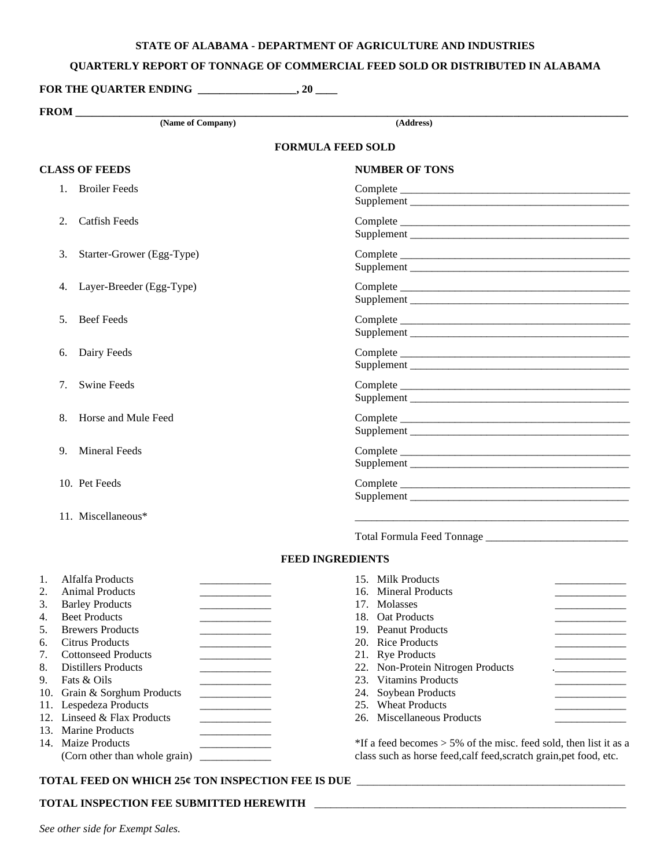## **STATE OF ALABAMA - DEPARTMENT OF AGRICULTURE AND INDUSTRIES**

## **QUARTERLY REPORT OF TONNAGE OF COMMERCIAL FEED SOLD OR DISTRIBUTED IN ALABAMA**

**FOR THE QUARTER ENDING \_\_\_\_\_\_\_\_\_\_\_\_\_\_\_\_\_\_, 20 \_\_\_\_** 

|                                                                                | <b>FROM</b>                                                                                                                                                                                                                                                                                                                                                              |                                                                                                                                                                                                                                                                                                                          |  |  |  |  |  |
|--------------------------------------------------------------------------------|--------------------------------------------------------------------------------------------------------------------------------------------------------------------------------------------------------------------------------------------------------------------------------------------------------------------------------------------------------------------------|--------------------------------------------------------------------------------------------------------------------------------------------------------------------------------------------------------------------------------------------------------------------------------------------------------------------------|--|--|--|--|--|
|                                                                                | (Name of Company)                                                                                                                                                                                                                                                                                                                                                        | (Address)                                                                                                                                                                                                                                                                                                                |  |  |  |  |  |
|                                                                                | <b>FORMULA FEED SOLD</b>                                                                                                                                                                                                                                                                                                                                                 |                                                                                                                                                                                                                                                                                                                          |  |  |  |  |  |
| <b>CLASS OF FEEDS</b>                                                          |                                                                                                                                                                                                                                                                                                                                                                          | <b>NUMBER OF TONS</b>                                                                                                                                                                                                                                                                                                    |  |  |  |  |  |
|                                                                                | 1. Broiler Feeds                                                                                                                                                                                                                                                                                                                                                         |                                                                                                                                                                                                                                                                                                                          |  |  |  |  |  |
|                                                                                | <b>Catfish Feeds</b><br>2.                                                                                                                                                                                                                                                                                                                                               |                                                                                                                                                                                                                                                                                                                          |  |  |  |  |  |
|                                                                                | Starter-Grower (Egg-Type)<br>3.                                                                                                                                                                                                                                                                                                                                          |                                                                                                                                                                                                                                                                                                                          |  |  |  |  |  |
|                                                                                | Layer-Breeder (Egg-Type)<br>4.                                                                                                                                                                                                                                                                                                                                           |                                                                                                                                                                                                                                                                                                                          |  |  |  |  |  |
|                                                                                | <b>Beef Feeds</b><br>5.                                                                                                                                                                                                                                                                                                                                                  |                                                                                                                                                                                                                                                                                                                          |  |  |  |  |  |
|                                                                                | Dairy Feeds<br>6.                                                                                                                                                                                                                                                                                                                                                        |                                                                                                                                                                                                                                                                                                                          |  |  |  |  |  |
|                                                                                | <b>Swine Feeds</b><br>7.                                                                                                                                                                                                                                                                                                                                                 |                                                                                                                                                                                                                                                                                                                          |  |  |  |  |  |
|                                                                                | Horse and Mule Feed<br>8.                                                                                                                                                                                                                                                                                                                                                |                                                                                                                                                                                                                                                                                                                          |  |  |  |  |  |
|                                                                                | <b>Mineral Feeds</b><br>9.                                                                                                                                                                                                                                                                                                                                               |                                                                                                                                                                                                                                                                                                                          |  |  |  |  |  |
|                                                                                | 10. Pet Feeds                                                                                                                                                                                                                                                                                                                                                            |                                                                                                                                                                                                                                                                                                                          |  |  |  |  |  |
|                                                                                | 11. Miscellaneous*                                                                                                                                                                                                                                                                                                                                                       |                                                                                                                                                                                                                                                                                                                          |  |  |  |  |  |
|                                                                                |                                                                                                                                                                                                                                                                                                                                                                          |                                                                                                                                                                                                                                                                                                                          |  |  |  |  |  |
|                                                                                |                                                                                                                                                                                                                                                                                                                                                                          | <b>FEED INGREDIENTS</b>                                                                                                                                                                                                                                                                                                  |  |  |  |  |  |
| 1.<br>2.<br>3.<br>4.<br>5.<br>6.<br>7.<br>8.<br>9.<br>10.<br>11.<br>12.<br>13. | Alfalfa Products<br><b>Animal Products</b><br><b>Barley Products</b><br><b>Beet Products</b><br><b>Brewers Products</b><br><b>Citrus Products</b><br><b>Cottonseed Products</b><br><b>Distillers Products</b><br>Fats & Oils<br>Grain & Sorghum Products<br>and the control of the control of<br>Lespedeza Products<br>Linseed & Flax Products<br><b>Marine Products</b> | 15. Milk Products<br>16. Mineral Products<br>17. Molasses<br>18.<br><b>Oat Products</b><br>19. Peanut Products<br>20. Rice Products<br>21. Rye Products<br>22. Non-Protein Nitrogen Products<br><b>Vitamins Products</b><br>23.<br>Soybean Products<br>24.<br><b>Wheat Products</b><br>25.<br>26. Miscellaneous Products |  |  |  |  |  |
|                                                                                | 14. Maize Products<br>(Corn other than whole grain)<br>and the company of the company of                                                                                                                                                                                                                                                                                 | *If a feed becomes $>$ 5% of the misc. feed sold, then list it as a<br>class such as horse feed, calf feed, scratch grain, pet food, etc.                                                                                                                                                                                |  |  |  |  |  |

## **TOTAL FEED ON WHICH 25¢ TON INSPECTION FEE IS DUE** \_\_\_\_\_\_\_\_\_\_\_\_\_\_\_\_\_\_\_\_\_\_\_\_\_\_\_\_\_\_\_\_\_\_\_\_\_\_\_\_\_\_\_\_\_\_\_\_\_

## **TOTAL INSPECTION FEE SUBMITTED HEREWITH** \_\_\_\_\_\_\_\_\_\_\_\_\_\_\_\_\_\_\_\_\_\_\_\_\_\_\_\_\_\_\_\_\_\_\_\_\_\_\_\_\_\_\_\_\_\_\_\_\_\_\_\_\_\_\_\_\_